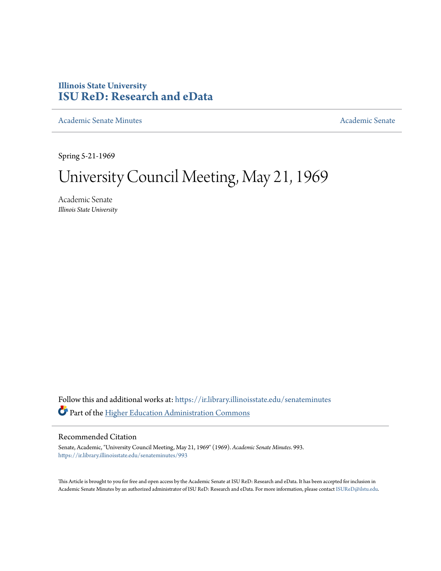### **Illinois State University [ISU ReD: Research and eData](https://ir.library.illinoisstate.edu?utm_source=ir.library.illinoisstate.edu%2Fsenateminutes%2F993&utm_medium=PDF&utm_campaign=PDFCoverPages)**

[Academic Senate Minutes](https://ir.library.illinoisstate.edu/senateminutes?utm_source=ir.library.illinoisstate.edu%2Fsenateminutes%2F993&utm_medium=PDF&utm_campaign=PDFCoverPages) [Academic Senate](https://ir.library.illinoisstate.edu/senate?utm_source=ir.library.illinoisstate.edu%2Fsenateminutes%2F993&utm_medium=PDF&utm_campaign=PDFCoverPages) Academic Senate

Spring 5-21-1969

# University Council Meeting, May 21, 1969

Academic Senate *Illinois State University*

Follow this and additional works at: [https://ir.library.illinoisstate.edu/senateminutes](https://ir.library.illinoisstate.edu/senateminutes?utm_source=ir.library.illinoisstate.edu%2Fsenateminutes%2F993&utm_medium=PDF&utm_campaign=PDFCoverPages) Part of the [Higher Education Administration Commons](http://network.bepress.com/hgg/discipline/791?utm_source=ir.library.illinoisstate.edu%2Fsenateminutes%2F993&utm_medium=PDF&utm_campaign=PDFCoverPages)

#### Recommended Citation

Senate, Academic, "University Council Meeting, May 21, 1969" (1969). *Academic Senate Minutes*. 993. [https://ir.library.illinoisstate.edu/senateminutes/993](https://ir.library.illinoisstate.edu/senateminutes/993?utm_source=ir.library.illinoisstate.edu%2Fsenateminutes%2F993&utm_medium=PDF&utm_campaign=PDFCoverPages)

This Article is brought to you for free and open access by the Academic Senate at ISU ReD: Research and eData. It has been accepted for inclusion in Academic Senate Minutes by an authorized administrator of ISU ReD: Research and eData. For more information, please contact [ISUReD@ilstu.edu.](mailto:ISUReD@ilstu.edu)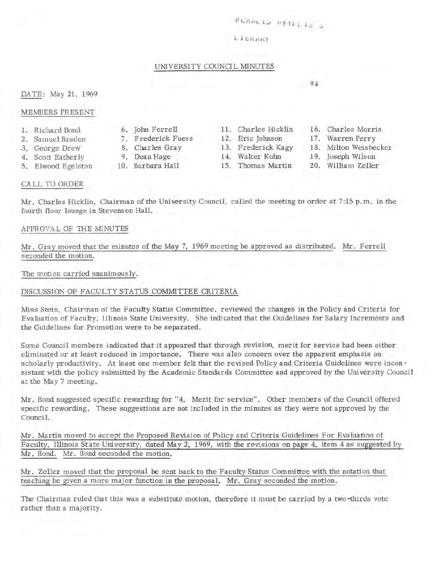## *~LHALt~* **µ~YLL1~ 5**

#### *L l* **tlkJ.H<'y**

#### UNIVERSITY COUNCIL MINUTES

#### DATE: May 21, 1969

#### MEMBERS PRESENT

- I. Richard Bond
- 2. Samuel Braden
- 3. George Drew
- 4. Scott Eatherly
- 5. Elwood Egelston
- 
- 
- 
- 

- 
- 8. Charles Gray 13. Frederick Kagy<br>
9. Dean Hage 14. Walter Kohn 14. Walter Kohn
	-
- Charles Morris
- 17. Warren Perry

#4

- 18. Milton Weisbecker
- 19. Joseph Wilson
- William Zeller

#### CA LL TO ORDER

Mr. Charles Hicklin, Chairman of the University Council, called the meeting to order at 7:15 p.m. in the fourth floor lounge in Stevenson Hall.

#### APPROVAL OF THE MINUTES

Mr. Gray moved that the minutes of the May 7, 1969 meeting be approved as distributed. Mr. Ferrell seconded the motion.

#### The motion carried unanimously.

#### DISCUSSION OF FACULTY STATUS COMMITTEE CRITERIA

Miss Stein, Chairman of the Faculty Status Committee, reviewed the changes in the Policy and Criteria for Evaluation of Faculty, Illinois State University. She indicated that the Guidelines for Salary Increments and the Guidelines for Promotion were to be separated.

Some Council members indicated that it appeared that through revision, merit for service had been either eliminated or at least reduced in importance. There was also concern over the apparent emphasis on scholarly productivity. At least one member felt that the revised Policy and Criteria Guidelines were incon sistant with the policy submitted by the Academic Standards Committee and approved by the University Council at the May 7 meeting.

Mr. Bond suggested specific rewarding for "4. Merit for service". Other members of the Council offered specific rewording. These suggestions are not included in the minutes as they were not approved by the Council.

Mr. Martin moved to accept the Proposed Revision of Policy and Criteria Guidelines For Evaluation of Faculty, Illinois State University, dated May 2, 1969, with the revisions on page 4, item 4 as suggested by Mr. Bond. Mr. Bond seconded the motion.

Mr. Zeller moved that the proposal be sent back to the Faculty Status Committee with the notation that teaching be given a more major function in the proposal. Mr. Gray seconded the motion.

The Chairman ruled that this was a substitute motion, therefore it must be carried by a two-thirds vote rather than a majority.

- 6. John Ferrell 11. Charles Hicklin 7. Frederick Fuess 12. Eric Johnson
- 
- 
- 10. Barbara Hall 15. Thomas Martin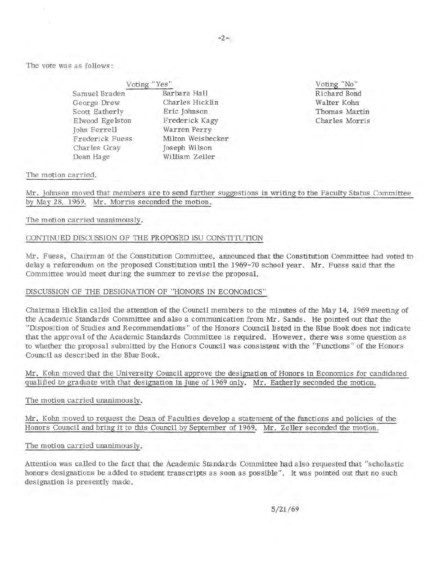The vote was as follows:

| Voting "Yes"    |               |
|-----------------|---------------|
| Samuel Braden   | Barbara Hall  |
| George Drew     | Charles Hick  |
| Scott Eatherly  | Eric Johnson  |
| Elwood Egelston | Frederick Ka  |
| John Ferrell    | Warren Perry  |
| Frederick Fuess | Milton Weisb  |
| Charles Gray    | Joseph Wilson |
| Dean Hage       | William Zelle |
|                 |               |

Hicklin Eric Johnson k Kagy Perry eisbecker ilson Zeller

Voting "No" Richard Bond Walter Kohn Thomas Martin Charles Morris

The motion carried.

Mr. Johnson moved that members are to send further suggestions in writing to the Faculty Status Committee by May 28, 1969. Mr. Morris seconded the motion.

#### The motion carried unanimously.

#### CONTINUED DISCUSSION OF THE PROPOSED ISU CONSTITUTION

Mr. Fuess, Chairman of the Constitution Committee, announced that the Constitution Committee had voted to delay a referendum on the proposed Constitution until the 1969-70 school year. Mr. Fuess said that the Committee would meet during the summer to revise the proposal.

#### DISCUSSION OF THE DESIGNATION OF "HONORS IN ECONOMICS"

Chairman Hicklin called the attention of the Council members to the minutes of the May 14, 1969 meeting of the Academic Standards Committee and also a communication from Mr. Sands. He pointed out that the "Disposition of Studies and Recommendations" of the Honors Council listed in the Blue Book does not indicate that the approval of the Academic Standards Committee is required. However, there was some question as to whether the proposal submitted by the Honors Council was consistent with the "Functions" of the Honors Council as described in the Blue Book.

Mr. Kohn moved that the University Council approve the designation of Honors in Economics for candidated qualified to graduate with that designation in June of 1969 only. Mr. Eatherly seconded the motion.

#### The motion carried unanimously.

Mr. Kohn moved to request the Dean of Faculties develop a statement of the functions and policies of the Honors Council and bring it to this Council by September of 1969. Mr. Zeller seconded the motion.

The motion carried unanimously.

Attention was called to the fact that the Academic Standards Committee had also requested that "scholastic honors designations be added to student transcripts as soon as possible". It was pointed out that no such designation is presently made.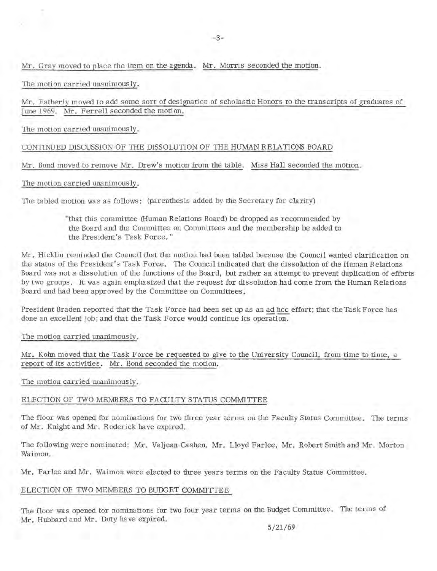Mr. Gray moved to place the item on the agenda. Mr. Morris seconded the motion.

The motion carried unanimously.

Mr. Eatherly moved to add some sort of designation of scholastic Honors to the transcripts of graduates of June 1969. Mr. Ferrell seconded the motion.

The motion carried unanimously.

CONTINUED DISCUSSION OF THE DISSOLUTION OF THE HUMAN RELATIONS BOARD

Mr. Bond moved to remove Mr. Drew's motion from the table. Miss Hall seconded the motion.

The motion carried unanimously.

The tabled motion was as follows : (parenthesis added by the Secretary for clarity)

"that this committee (Human Relations Board) be dropped as recommended by the Board and the Committee on Committees and the membership be added to the President's Task Force."

Mr. Hicklin reminded the Council that the motion had been tabled because the Council wanted clarification on the status of the President's Task Force. The Council indicated that the dissolution of the Human Relations . Board was not a dissolution of the functions of the Board, but rather an attempt to prevent duplication of efforts by two groups. It was again emphasized that the request for dissolution had come from the Human Relations Board and had been approved by the Committee on Committees.

President Braden reported that the Task Force had been set up as an ad hoc effort; that the Task Force has done an excellent job; and that the Task Force would continue its operation.

The motion carried unanimously.

Mr. Kohn moved that the Task Force be requested to give to the University Council, from time to time, a report of its activities. Mr. Bond seconded the motion.

The motion carried unanimously.

#### ELECTION OF TWO MEMBERS TO FACULTY STATUS COMMITTEE

The floor was opened for nominations for two three year terms on the Faculty Status Committee. The terms of Mr. Knight and Mr. Roderick have expired.

The following were nominated: Mr. Valjean Cashen, Mr. Lloyd Farlee, Mr. Robert Smith and Mr. Morton Waimon.

Mr. Farlee and Mr. Waimon were elected to three years terms on the Faculty Status Committee.

#### ELECTION OF TWO MEMBERS TO BUDGET COMMITTEE

The floor was opened for nominations for two four year terms on the Budget Committee. The terms of Mr. Hubbard and Mr. Duty have expired.